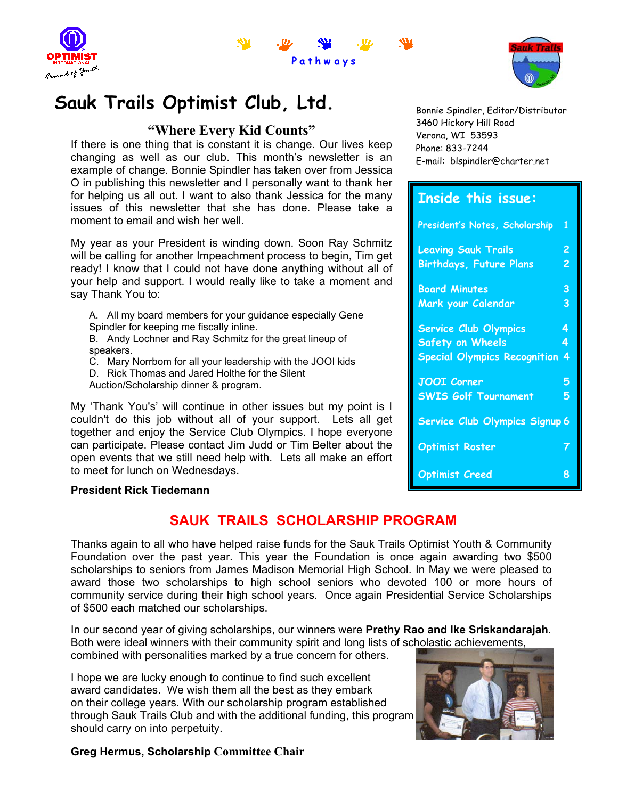





# Sauk Trails Optimist Club, Ltd. **Bonnie Spindler, Editor/Distributor**

## **"Where Every Kid Counts"**

If there is one thing that is constant it is change. Our lives keep changing as well as our club. This month's newsletter is an example of change. Bonnie Spindler has taken over from Jessica O in publishing this newsletter and I personally want to thank her for helping us all out. I want to also thank Jessica for the many issues of this newsletter that she has done. Please take a moment to email and wish her well.

My year as your President is winding down. Soon Ray Schmitz will be calling for another Impeachment process to begin, Tim get ready! I know that I could not have done anything without all of your help and support. I would really like to take a moment and say Thank You to:

A. All my board members for your guidance especially Gene Spindler for keeping me fiscally inline.

B. Andy Lochner and Ray Schmitz for the great lineup of speakers.

C. Mary Norrbom for all your leadership with the JOOI kids

D. Rick Thomas and Jared Holthe for the Silent

Auction/Scholarship dinner & program.

My 'Thank You's' will continue in other issues but my point is I couldn't do this job without all of your support. Lets all get together and enjoy the Service Club Olympics. I hope everyone can participate. Please contact Jim Judd or Tim Belter about the open events that we still need help with. Lets all make an effort to meet for lunch on Wednesdays.

### **President Rick Tiedemann**

# **SAUK TRAILS SCHOLARSHIP PROGRAM**

Thanks again to all who have helped raise funds for the Sauk Trails Optimist Youth & Community Foundation over the past year. This year the Foundation is once again awarding two \$500 scholarships to seniors from James Madison Memorial High School. In May we were pleased to award those two scholarships to high school seniors who devoted 100 or more hours of community service during their high school years. Once again Presidential Service Scholarships of \$500 each matched our scholarships.

In our second year of giving scholarships, our winners were **Prethy Rao and Ike Sriskandarajah**. Both were ideal winners with their community spirit and long lists of scholastic achievements,

combined with personalities marked by a true concern for others.

I hope we are lucky enough to continue to find such excellent award candidates. We wish them all the best as they embark on their college years. With our scholarship program established through Sauk Trails Club and with the additional funding, this program should carry on into perpetuity.



### **Greg Hermus, Scholarship Committee Chair**

3460 Hickory Hill Road Verona, WI 53593 Phone: 833-7244 E-mail: blspindler@charter.net

# **Inside this issue:**

| President's Notes, Scholarship      | 1 |
|-------------------------------------|---|
| <b>Leaving Sauk Trails</b>          | 2 |
| <b>Birthdays, Future Plans</b>      | 2 |
| <b>Board Minutes</b>                | 3 |
| Mark your Calendar                  | 3 |
| <b>Service Club Olympics</b>        | 4 |
| <b>Safety on Wheels</b>             | 4 |
| <b>Special Olympics Recognition</b> | 4 |
| <b>JOOI Corner</b>                  | 5 |
| <b>SWIS Golf Tournament</b>         | 5 |
| Service Club Olympics Signup 6      |   |
| <b>Optimist Roster</b>              |   |
| <b>Optimist Creed</b>               | 8 |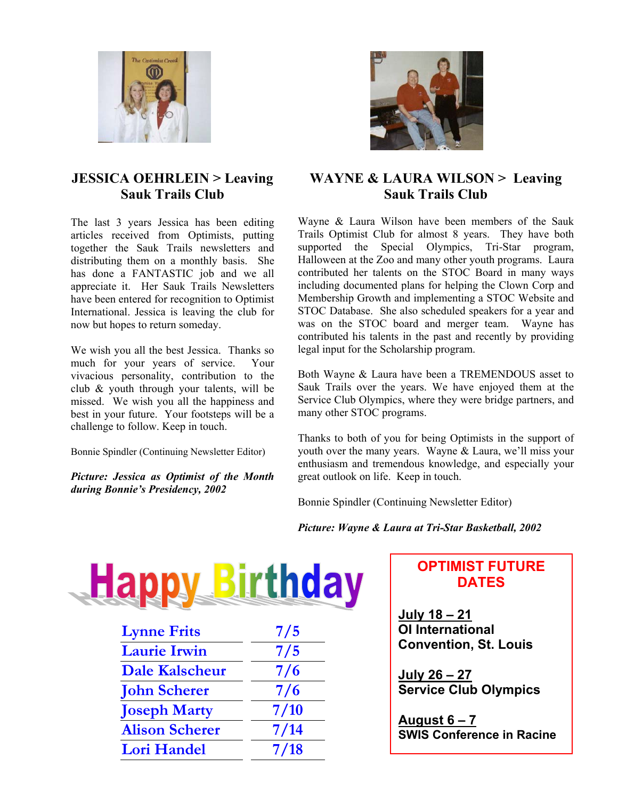

## **JESSICA OEHRLEIN > Leaving Sauk Trails Club**

The last 3 years Jessica has been editing articles received from Optimists, putting together the Sauk Trails newsletters and distributing them on a monthly basis. She has done a FANTASTIC job and we all appreciate it. Her Sauk Trails Newsletters have been entered for recognition to Optimist International. Jessica is leaving the club for now but hopes to return someday.

We wish you all the best Jessica. Thanks so much for your years of service. Your vivacious personality, contribution to the club & youth through your talents, will be missed. We wish you all the happiness and best in your future. Your footsteps will be a challenge to follow. Keep in touch.

Bonnie Spindler (Continuing Newsletter Editor)

*Picture: Jessica as Optimist of the Month during Bonnie's Presidency, 2002* 



# **WAYNE & LAURA WILSON > Leaving Sauk Trails Club**

Wayne & Laura Wilson have been members of the Sauk Trails Optimist Club for almost 8 years. They have both supported the Special Olympics, Tri-Star program, Halloween at the Zoo and many other youth programs. Laura contributed her talents on the STOC Board in many ways including documented plans for helping the Clown Corp and Membership Growth and implementing a STOC Website and STOC Database. She also scheduled speakers for a year and was on the STOC board and merger team. Wayne has contributed his talents in the past and recently by providing legal input for the Scholarship program.

Both Wayne & Laura have been a TREMENDOUS asset to Sauk Trails over the years. We have enjoyed them at the Service Club Olympics, where they were bridge partners, and many other STOC programs.

Thanks to both of you for being Optimists in the support of youth over the many years. Wayne & Laura, we'll miss your enthusiasm and tremendous knowledge, and especially your great outlook on life. Keep in touch.

Bonnie Spindler (Continuing Newsletter Editor)

### *Picture: Wayne & Laura at Tri-Star Basketball, 2002*

|                       | thday |
|-----------------------|-------|
| <b>Lynne Frits</b>    | 7/5   |
| <b>Laurie Irwin</b>   | 7/5   |
| <b>Dale Kalscheur</b> | 7/6   |
| <b>John Scherer</b>   | 7/6   |
| <b>Joseph Marty</b>   | 7/10  |
| <b>Alison Scherer</b> | 7/14  |
| <b>Lori Handel</b>    | 7/18  |
|                       |       |

## **OPTIMIST FUTURE DATES**

**July 18 – 21 OI International Convention, St. Louis** 

**July 26 – 27 Service Club Olympics** 

**August 6 – 7 SWIS Conference in Racine**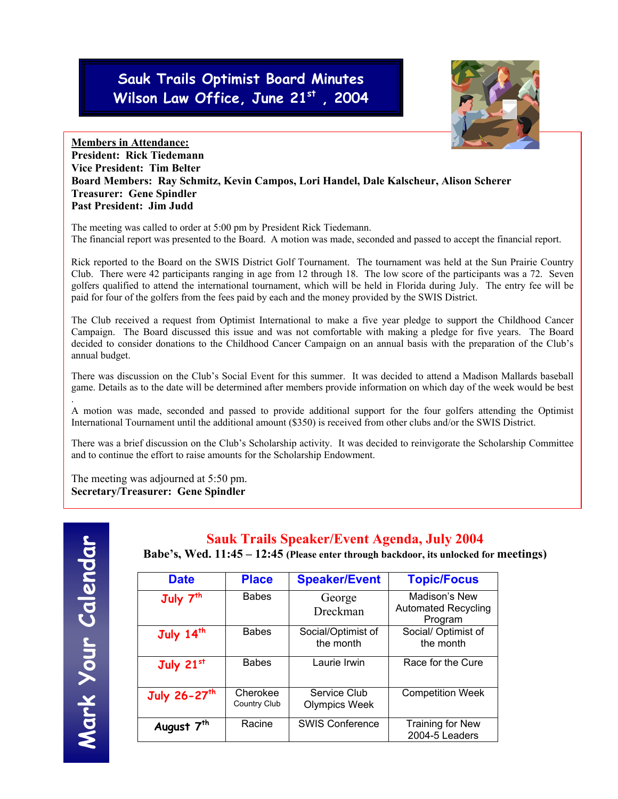# **Sauk Trails Optimist Board Minutes Wilson Law Office, June 21st , 2004**



### **Members in Attendance: President: Rick Tiedemann Vice President: Tim Belter Board Members: Ray Schmitz, Kevin Campos, Lori Handel, Dale Kalscheur, Alison Scherer Treasurer: Gene Spindler Past President: Jim Judd**

The meeting was called to order at 5:00 pm by President Rick Tiedemann. The financial report was presented to the Board. A motion was made, seconded and passed to accept the financial report.

Rick reported to the Board on the SWIS District Golf Tournament. The tournament was held at the Sun Prairie Country Club. There were 42 participants ranging in age from 12 through 18. The low score of the participants was a 72. Seven golfers qualified to attend the international tournament, which will be held in Florida during July. The entry fee will be paid for four of the golfers from the fees paid by each and the money provided by the SWIS District.

The Club received a request from Optimist International to make a five year pledge to support the Childhood Cancer Campaign. The Board discussed this issue and was not comfortable with making a pledge for five years. The Board decided to consider donations to the Childhood Cancer Campaign on an annual basis with the preparation of the Club's annual budget.

There was discussion on the Club's Social Event for this summer. It was decided to attend a Madison Mallards baseball game. Details as to the date will be determined after members provide information on which day of the week would be best

A motion was made, seconded and passed to provide additional support for the four golfers attending the Optimist International Tournament until the additional amount (\$350) is received from other clubs and/or the SWIS District.

There was a brief discussion on the Club's Scholarship activity. It was decided to reinvigorate the Scholarship Committee and to continue the effort to raise amounts for the Scholarship Endowment.

The meeting was adjourned at 5:50 pm. **Secretary/Treasurer: Gene Spindler** 

.

## **Sauk Trails Speaker/Event Agenda, July 2004**

**Babe's, Wed. 11:45 – 12:45 (Please enter through backdoor, its unlocked for meetings)**

| <b>Date</b>              | <b>Place</b>                    | <b>Speaker/Event</b>                 | <b>Topic/Focus</b>                                     |
|--------------------------|---------------------------------|--------------------------------------|--------------------------------------------------------|
| July 7 <sup>th</sup>     | <b>Babes</b>                    | George<br>Dreckman                   | Madison's New<br><b>Automated Recycling</b><br>Program |
| July 14th                | <b>Babes</b>                    | Social/Optimist of<br>the month      | Social/ Optimist of<br>the month                       |
| July 21st                | <b>Babes</b>                    | Laurie Irwin                         | Race for the Cure                                      |
| July 26-27 <sup>th</sup> | Cherokee<br><b>Country Club</b> | Service Club<br><b>Olympics Week</b> | <b>Competition Week</b>                                |
| August 7 <sup>th</sup>   | Racine                          | <b>SWIS Conference</b>               | <b>Training for New</b><br>2004-5 Leaders              |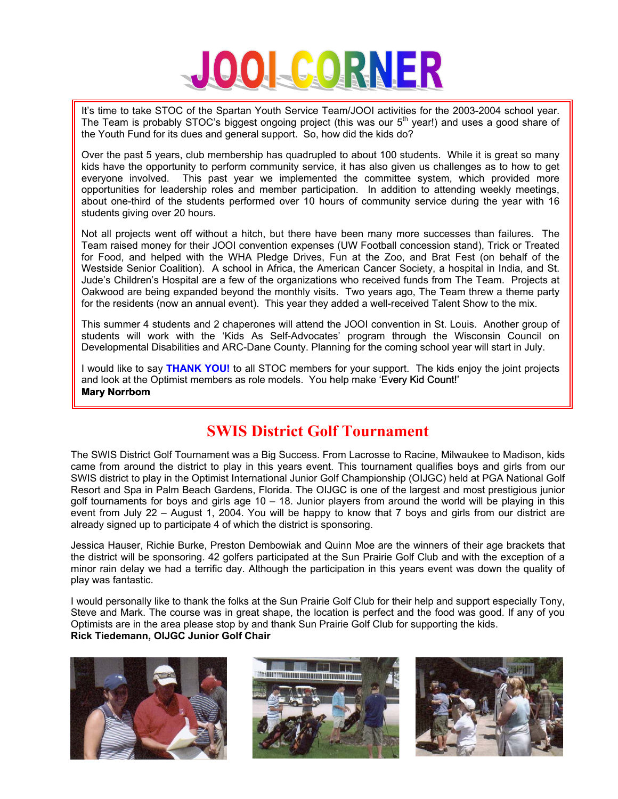

It's time to take STOC of the Spartan Youth Service Team/JOOI activities for the 2003-2004 school year. The Team is probably STOC's biggest ongoing project (this was our  $5<sup>th</sup>$  year!) and uses a good share of the Youth Fund for its dues and general support. So, how did the kids do?

Over the past 5 years, club membership has quadrupled to about 100 students. While it is great so many kids have the opportunity to perform community service, it has also given us challenges as to how to get everyone involved. This past year we implemented the committee system, which provided more opportunities for leadership roles and member participation. In addition to attending weekly meetings, about one-third of the students performed over 10 hours of community service during the year with 16 students giving over 20 hours.

Not all projects went off without a hitch, but there have been many more successes than failures. The Team raised money for their JOOI convention expenses (UW Football concession stand), Trick or Treated for Food, and helped with the WHA Pledge Drives, Fun at the Zoo, and Brat Fest (on behalf of the Westside Senior Coalition). A school in Africa, the American Cancer Society, a hospital in India, and St. Jude's Children's Hospital are a few of the organizations who received funds from The Team. Projects at Oakwood are being expanded beyond the monthly visits. Two years ago, The Team threw a theme party for the residents (now an annual event). This year they added a well-received Talent Show to the mix.

This summer 4 students and 2 chaperones will attend the JOOI convention in St. Louis. Another group of students will work with the 'Kids As Self-Advocates' program through the Wisconsin Council on Developmental Disabilities and ARC-Dane County. Planning for the coming school year will start in July.

I would like to say **THANK YOU!** to all STOC members for your support. The kids enjoy the joint projects and look at the Optimist members as role models. You help make 'Every Kid Count!' **Mary Norrbom** 

# **SWIS District Golf Tournament**

The SWIS District Golf Tournament was a Big Success. From Lacrosse to Racine, Milwaukee to Madison, kids came from around the district to play in this years event. This tournament qualifies boys and girls from our SWIS district to play in the Optimist International Junior Golf Championship (OIJGC) held at PGA National Golf Resort and Spa in Palm Beach Gardens, Florida. The OIJGC is one of the largest and most prestigious junior golf tournaments for boys and girls age  $10 - 18$ . Junior players from around the world will be playing in this event from July 22 – August 1, 2004. You will be happy to know that 7 boys and girls from our district are already signed up to participate 4 of which the district is sponsoring.

Jessica Hauser, Richie Burke, Preston Dembowiak and Quinn Moe are the winners of their age brackets that the district will be sponsoring. 42 golfers participated at the Sun Prairie Golf Club and with the exception of a minor rain delay we had a terrific day. Although the participation in this years event was down the quality of play was fantastic.

I would personally like to thank the folks at the Sun Prairie Golf Club for their help and support especially Tony, Steve and Mark. The course was in great shape, the location is perfect and the food was good. If any of you Optimists are in the area please stop by and thank Sun Prairie Golf Club for supporting the kids. **Rick Tiedemann, OIJGC Junior Golf Chair** 





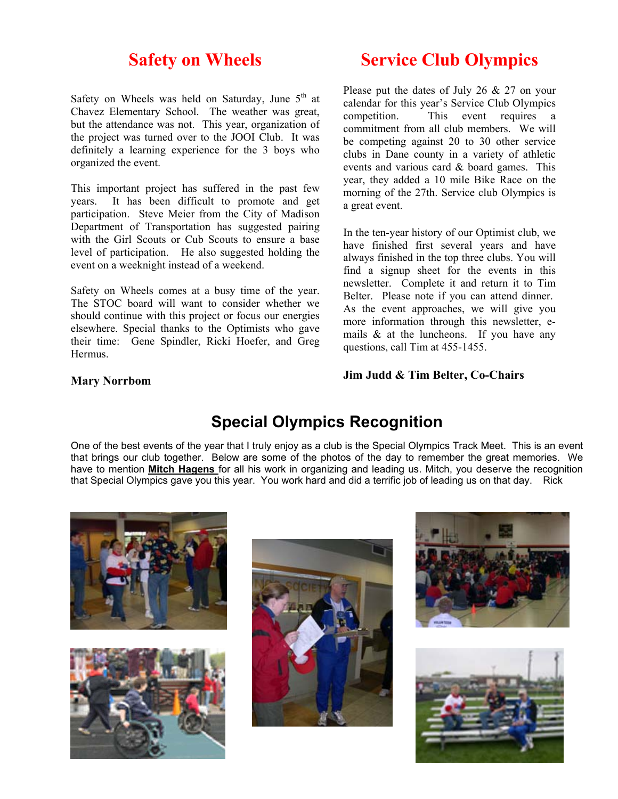# **Safety on Wheels**

Safety on Wheels was held on Saturday, June  $5<sup>th</sup>$  at Chavez Elementary School. The weather was great, but the attendance was not. This year, organization of the project was turned over to the JOOI Club. It was definitely a learning experience for the 3 boys who organized the event.

This important project has suffered in the past few years. It has been difficult to promote and get participation. Steve Meier from the City of Madison Department of Transportation has suggested pairing with the Girl Scouts or Cub Scouts to ensure a base level of participation. He also suggested holding the event on a weeknight instead of a weekend.

Safety on Wheels comes at a busy time of the year. The STOC board will want to consider whether we should continue with this project or focus our energies elsewhere. Special thanks to the Optimists who gave their time: Gene Spindler, Ricki Hoefer, and Greg Hermus.

# **Service Club Olympics**

Please put the dates of July 26 & 27 on your calendar for this year's Service Club Olympics competition. This event requires a commitment from all club members. We will be competing against 20 to 30 other service clubs in Dane county in a variety of athletic events and various card & board games. This year, they added a 10 mile Bike Race on the morning of the 27th. Service club Olympics is a great event.

In the ten-year history of our Optimist club, we have finished first several years and have always finished in the top three clubs. You will find a signup sheet for the events in this newsletter. Complete it and return it to Tim Belter. Please note if you can attend dinner. As the event approaches, we will give you more information through this newsletter, emails  $\&$  at the luncheons. If you have any questions, call Tim at 455-1455.

### **Mary Norrbom**

### **Jim Judd & Tim Belter, Co-Chairs**

# **Special Olympics Recognition**

One of the best events of the year that I truly enjoy as a club is the Special Olympics Track Meet. This is an event that brings our club together. Below are some of the photos of the day to remember the great memories. We have to mention **Mitch Hagens** for all his work in organizing and leading us. Mitch, you deserve the recognition that Special Olympics gave you this year. You work hard and did a terrific job of leading us on that day. Rick







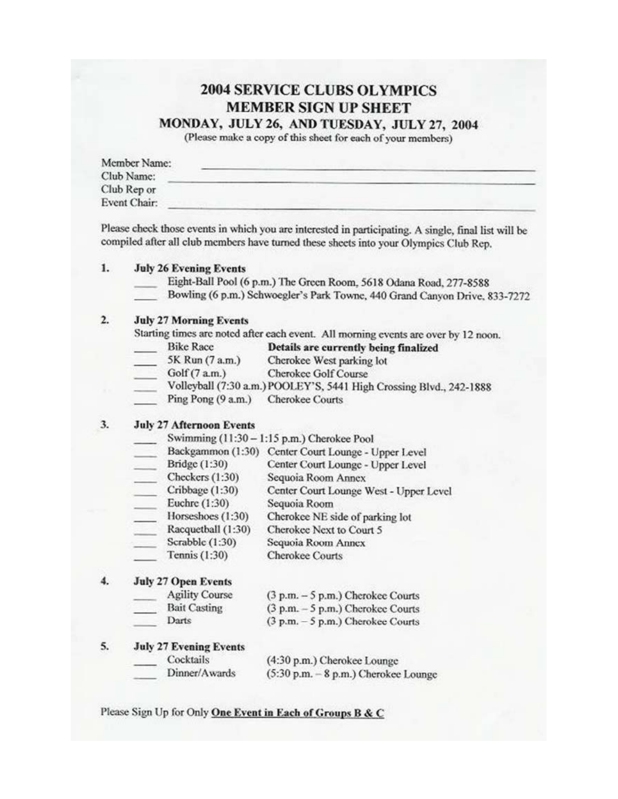## **2004 SERVICE CLUBS OLYMPICS MEMBER SIGN UP SHEET** MONDAY, JULY 26, AND TUESDAY, JULY 27, 2004

(Please make a copy of this sheet for each of your members)

| Member Name: |  |
|--------------|--|
| Club Name:   |  |
| Club Rep or  |  |
| Event Chair: |  |

Please check those events in which you are interested in participating. A single, final list will be compiled after all club members have turned these sheets into your Olympics Club Rep.

#### 1. **July 26 Evening Events**

- Eight-Ball Pool (6 p.m.) The Green Room, 5618 Odana Road, 277-8588
- Bowling (6 p.m.) Schwoegler's Park Towne, 440 Grand Canyon Drive, 833-7272

#### $2.$ **July 27 Morning Events**

Starting times are noted after each event. All morning events are over by 12 noon.

- **Bike Race** Details are currently being finalized
- 5K Run (7 a.m.) Cherokee West parking lot
- **Cherokee Golf Course**  $Golf(7 a.m.)$
- Volleyball (7:30 a.m.) POOLEY'S, 5441 High Crossing Blvd., 242-1888
- Ping Pong  $(9 a.m.)$ **Cherokee Courts**

#### 3. **July 27 Afternoon Events**

Swimming (11:30 - 1:15 p.m.) Cherokee Pool

|                    | Backgammon (1:30) Center Court Lounge - Upper Level |
|--------------------|-----------------------------------------------------|
| Bridge (1:30)      | Center Court Lounge - Upper Level                   |
| Checkers $(1:30)$  | Sequoia Room Annex                                  |
| Cribbage (1:30)    | Center Court Lounge West - Upper Level              |
| Euchre (1:30)      | Sequoia Room                                        |
| Horseshoes (1:30)  | Cherokee NE side of parking lot                     |
| Racquetball (1:30) | Cherokee Next to Court 5                            |
| Scrabble (1:30)    | Sequoia Room Annex                                  |
| Tennis (1:30)      | <b>Cherokee Courts</b>                              |

#### $4.$ **July 27 Open Events**

| <b>Agility Course</b> | $(3 p.m. - 5 p.m.)$ Cherokee Courts |
|-----------------------|-------------------------------------|
| <b>Bait Casting</b>   | $(3 p.m. - 5 p.m.)$ Cherokee Courts |
| Darts                 | $(3 p.m. - 5 p.m.)$ Cherokee Courts |

#### 5. **July 27 Evening Events**

- Cocktails
- Dinner/Awards
- (4:30 p.m.) Cherokee Lounge  $(5:30 \text{ p.m.} - 8 \text{ p.m.})$  Cherokee Lounge

#### Please Sign Up for Only One Event in Each of Groups B & C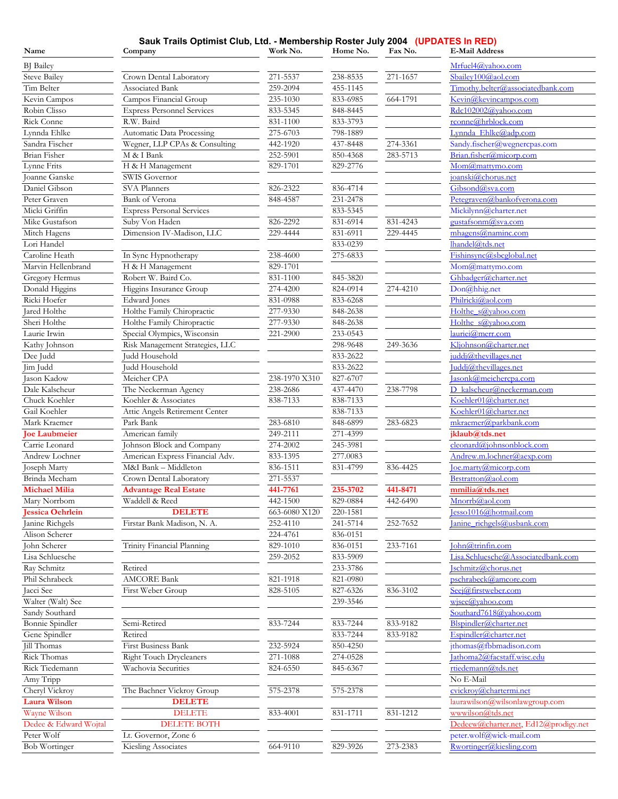#### **Sauk Trails Optimist Club, Ltd. - Membership Roster July 2004 (UPDATES In RED)**

| Name                          | Company                           | Work No.      | Home No.     | Fax No.  | <b>E-Mail Address</b>                        |
|-------------------------------|-----------------------------------|---------------|--------------|----------|----------------------------------------------|
| <b>BJ</b> Bailey              |                                   |               |              |          | Mrfuel4@yahoo.com                            |
| <b>Steve Bailey</b>           | Crown Dental Laboratory           | 271-5537      | 238-8535     | 271-1657 | Sbailev100@aol.com                           |
| Tim Belter                    | Associated Bank                   | 259-2094      | 455-1145     |          | Timothy.belter@associatedbank.com            |
| Kevin Campos                  | Campos Financial Group            | 235-1030      | 833-6985     | 664-1791 | Kevin@kevincampos.com                        |
| Robin Clisso                  | <b>Express Personnel Services</b> | 833-5345      | 848-8445     |          | <u>Rdc102002@yahoo.com</u>                   |
| Rick Conne                    | R.W. Baird                        | 831-1100      | 833-3793     |          | rconne@hrblock.com                           |
| Lynnda Ehlke                  | Automatic Data Processing         | 275-6703      | 798-1889     |          | Lynnda Ehlke@adp.com                         |
| Sandra Fischer                | Wegner, LLP CPAs & Consulting     | 442-1920      | 437-8448     | 274-3361 | Sandy.fischer@wegnercpas.com                 |
| <b>Brian Fisher</b>           | M & I Bank                        | 252-5901      | 850-4368     | 283-5713 | Brian.fisher@micorp.com                      |
| Lynne Frits                   | H & H Management                  | 829-1701      | 829-2776     |          | Mom@mattymo.com                              |
| Joanne Ganske                 | SWIS Governor                     |               |              |          | joanski@chorus.net                           |
| Daniel Gibson                 | <b>SVA Planners</b>               | 826-2322      | 836-4714     |          | Gibsond@sva.com                              |
| Peter Graven                  | Bank of Verona                    | 848-4587      | $231 - 2478$ |          | Petegraven@bankofverona.com                  |
| Micki Griffin                 | <b>Express Personal Services</b>  |               | 833-5345     |          | Mickilynn@charter.net                        |
| Mike Gustafson                | Suby Von Haden                    | 826-2292      | 831-6914     | 831-4243 | gustafsonm@sva.com                           |
| Mitch Hagens                  | Dimension IV-Madison, LLC         | 229-4444      | 831-6911     | 229-4445 | $m$ hagens@naminc.com                        |
| Lori Handel                   |                                   |               | 833-0239     |          | lhandel@tds.net                              |
| Caroline Heath                | In Sync Hypnotherapy              | 238-4600      | 275-6833     |          | Fishinsync@sbcglobal.net                     |
| Marvin Hellenbrand            | H & H Management                  | 829-1701      |              |          | Mom@mattymo.com                              |
| Gregory Hermus                | Robert W. Baird Co.               | 831-1100      | 845-3820     |          | Ghbadger@charter.net                         |
| Donald Higgins                | Higgins Insurance Group           | 274-4200      | 824-0914     | 274-4210 | Don@hhig.net                                 |
| Ricki Hoefer                  | <b>Edward</b> Jones               | 831-0988      | 833-6268     |          | Philricki@aol.com                            |
| Jared Holthe                  | Holthe Family Chiropractic        | 277-9330      | 848-2638     |          | Holthe s@yahoo.com                           |
| Sheri Holthe                  | Holthe Family Chiropractic        | 277-9330      | 848-2638     |          | Holthe s@yahoo.com                           |
|                               | Special Olympics, Wisconsin       | 221-2900      | 233-0543     |          | auriei@merr.com                              |
| Laurie Irwin<br>Kathy Johnson | Risk Management Strategies, LLC   |               | 298-9648     | 249-3636 | Kljohnson@charter.net                        |
| Dee Judd                      | Judd Household                    |               | 833-2622     |          | $\text{addi}\textcircled{a}$ thevillages.net |
| Jim Judd                      | Judd Household                    |               | 833-2622     |          | Juddj@thevillages.net                        |
| Jason Kadow                   | Meicher CPA                       | 238-1970 X310 | 827-6707     |          | Jasonk@meichercpa.com                        |
| Dale Kalscheur                | The Neckerman Agency              | 238-2686      | 437-4470     | 238-7798 | D kalscheur@neckerman.com                    |
| Chuck Koehler                 | Koehler & Associates              | 838-7133      | 838-7133     |          | Koehler01@charter.net                        |
| Gail Koehler                  | Attic Angels Retirement Center    |               | 838-7133     |          | Koehler01@charter.net                        |
| Mark Kraemer                  | Park Bank                         | 283-6810      | 848-6899     | 283-6823 | mkraemer@parkbank.com                        |
| <b>Joe Laubmeier</b>          | American family                   | 249-2111      | 271-4399     |          | jklaub@tds.net                               |
| Carrie Leonard                | Johnson Block and Company         | 274-2002      | 245-3981     |          | cleanard@ionnsonblock.com                    |
| Andrew Lochner                | American Express Financial Adv.   | 833-1395      | 277.0083     |          | Andrew.m.lochner@aexp.com                    |
| Joseph Marty                  | M&I Bank - Middleton              | 836-1511      | 831-4799     | 836-4425 | loe.marty@micorp.com                         |
| Brinda Mecham                 | Crown Dental Laboratory           | 271-5537      |              |          | Brstratton@aol.com                           |
| <b>Michael Milia</b>          | <b>Advantage Real Estate</b>      | 441-7761      | 235-3702     | 441-8471 | mmilia@tds.net                               |
| Mary Norrbom                  | Waddell & Reed                    | 442-1500      | 829-0884     | 442-6490 | Mnorrb@aol.com                               |
| <b>Jessica Oehrlein</b>       | <b>DELETE</b>                     | 663-6080 X120 | 220-1581     |          | Jesso1016@hotmail.com                        |
| Janine Richgels               | Firstar Bank Madison, N. A.       | 252-4110      | 241-5714     | 252-7652 | Janine_richgels@usbank.com                   |
| Alison Scherer                |                                   | 224-4761      | 836-0151     |          |                                              |
| John Scherer                  | Trinity Financial Planning        | 829-1010      | 836-0151     | 233-7161 | John@trinfin.com                             |
| Lisa Schluesche               |                                   | 259-2052      | 833-5909     |          | Lisa.Schluesche@Associatedbank.com           |
| Ray Schmitz                   | Retired                           |               | 233-3786     |          | schmitz@chorus.net                           |
| Phil Schrabeck                | <b>AMCORE Bank</b>                | 821-1918      | 821-0980     |          | pschrabeck@amcore.com                        |
| Jacci See                     | First Weber Group                 | 828-5105      | 827-6326     | 836-3102 | Seej@firstweber.com                          |
| Walter (Walt) See             |                                   |               | 239-3546     |          | wisee@yahoo.com                              |
| Sandy Southard                |                                   |               |              |          | Southard7618@yahoo.com                       |
| Bonnie Spindler               | Semi-Retired                      | 833-7244      | 833-7244     | 833-9182 | Blspindler@charter.net                       |
| Gene Spindler                 | Retired                           |               | 833-7244     | 833-9182 | Espindler@charter.net                        |
| Jill Thomas                   | First Business Bank               | 232-5924      | 850-4250     |          | ithomas@fbbmadison.com                       |
| Rick Thomas                   | <b>Right Touch Drycleaners</b>    | 271-1088      | 274-0528     |          | Jathoma2@facstaff.wisc.edu                   |
| Rick Tiedemann                | Wachovia Securities               | 824-6550      | 845-6367     |          | rtiedemann@tds.net                           |
|                               |                                   |               |              |          | No E-Mail                                    |
| Amy Tripp<br>Cheryl Vickroy   | The Bachner Vickroy Group         | 575-2378      | 575-2378     |          | cvickroy@chartermi.net                       |
| <b>Laura Wilson</b>           | <b>DELETE</b>                     |               |              |          | $[auxawilson@$ wilson $[away for the image]$ |
| Wayne Wilson                  | <b>DELETE</b>                     | 833-4001      | 831-1711     | 831-1212 | wwwilson@tds.net                             |
| Dedee & Edward Wojtal         | <b>DELETE BOTH</b>                |               |              |          | Dedeew@charter.net, Ed12@prodigy.net         |
| Peter Wolf                    | Lt. Governor, Zone 6              |               |              |          | peter.wolf@wick-mail.com                     |
| Bob Wortinger                 | Kiesling Associates               | 664-9110      | 829-3926     | 273-2383 | Rwortinger@kiesling.com                      |
|                               |                                   |               |              |          |                                              |